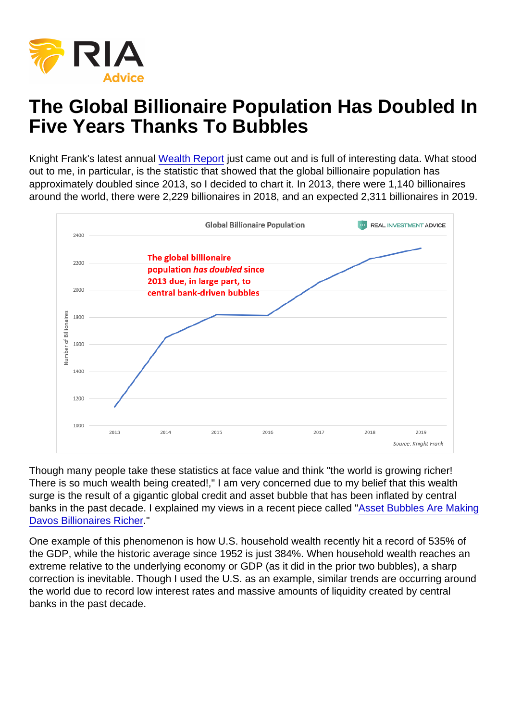## The Global Billionaire Population Has Doubled In Five Years Thanks To Bubbles

Knight Frank's latest annual [Wealth Report](https://content.knightfrank.com/resources/knightfrank.com/wealthreport/2019/the-wealth-report-2019.pdf) just came out and is full of interesting data. What stood out to me, in particular, is the statistic that showed that the global billionaire population has approximately doubled since 2013, so I decided to chart it. In 2013, there were 1,140 billionaires around the world, there were 2,229 billionaires in 2018, and an expected 2,311 billionaires in 2019.

Though many people take these statistics at face value and think "the world is growing richer! There is so much wealth being created!," I am very concerned due to my belief that this wealth surge is the result of a gigantic global credit and asset bubble that has been inflated by central banks in the past decade. I explained my views in a recent piece called ["Asset Bubbles Are Making](https://realinvestmentadvice.com/asset-bubbles-are-making-davos-billionaires-richer/) [Davos Billionaires Richer](https://realinvestmentadvice.com/asset-bubbles-are-making-davos-billionaires-richer/)."

One example of this phenomenon is how U.S. household wealth recently hit a record of 535% of the GDP, while the historic average since 1952 is just 384%. When household wealth reaches an extreme relative to the underlying economy or GDP (as it did in the prior two bubbles), a sharp correction is inevitable. Though I used the U.S. as an example, similar trends are occurring around the world due to record low interest rates and massive amounts of liquidity created by central banks in the past decade.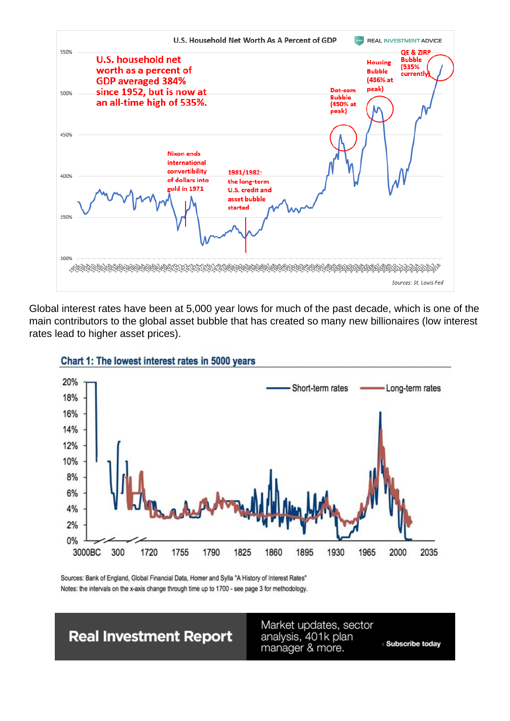

Global interest rates have been at 5,000 year lows for much of the past decade, which is one of the main contributors to the global asset bubble that has created so many new billionaires (low interest rates lead to higher asset prices).





Sources: Bank of England, Global Financial Data, Homer and Sylla "A History of Interest Rates" Notes: the intervals on the x-axis change through time up to 1700 - see page 3 for methodology.

**Real Investment Report** 

Market updates, sector analysis, 401k plan manager & more.

> Subscribe today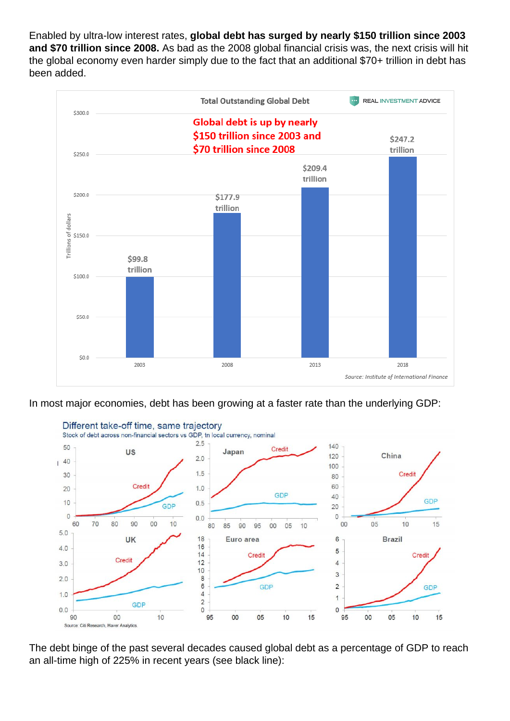Enabled by ultra-low interest rates, **global debt has surged by nearly \$150 trillion since 2003 and \$70 trillion since 2008.** As bad as the 2008 global financial crisis was, the next crisis will hit the global economy even harder simply due to the fact that an additional \$70+ trillion in debt has been added.



In most major economies, debt has been growing at a faster rate than the underlying GDP:



The debt binge of the past several decades caused global debt as a percentage of GDP to reach an all-time high of 225% in recent years (see black line):